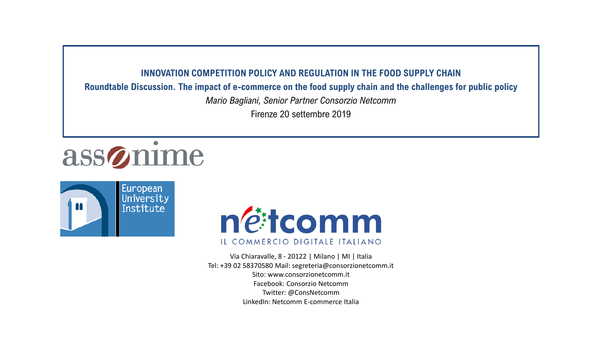### **INNOVATION COMPETITION POLICY AND REGULATION IN THE FOOD SUPPLY CHAIN**

**Roundtable Discussion. The impact of e-commerce on the food supply chain and the challenges for public policy**

*Mario Bagliani, Senior Partner Consorzio Netcomm*

Firenze 20 settembre 2019

# assonime





Via Chiaravalle, 8 - 20122 | Milano | MI | Italia Tel: +39 02 58370580 Mail: segreteria@consorzionetcomm.it Sito: www.consorzionetcomm.it Facebook: Consorzio Netcomm Twitter: @ConsNetcomm LinkedIn: Netcomm E-commerce Italia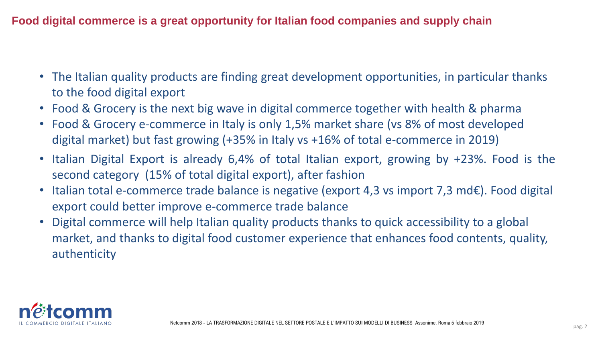**Food digital commerce is a great opportunity for Italian food companies and supply chain** 

- The Italian quality products are finding great development opportunities, in particular thanks to the food digital export
- Food & Grocery is the next big wave in digital commerce together with health & pharma
- Food & Grocery e-commerce in Italy is only 1,5% market share (vs 8% of most developed digital market) but fast growing (+35% in Italy vs +16% of total e-commerce in 2019)
- Italian Digital Export is already 6,4% of total Italian export, growing by +23%. Food is the second category (15% of total digital export), after fashion
- Italian total e-commerce trade balance is negative (export 4,3 vs import 7,3 md€). Food digital export could better improve e-commerce trade balance
- Digital commerce will help Italian quality products thanks to quick accessibility to a global market, and thanks to digital food customer experience that enhances food contents, quality, authenticity

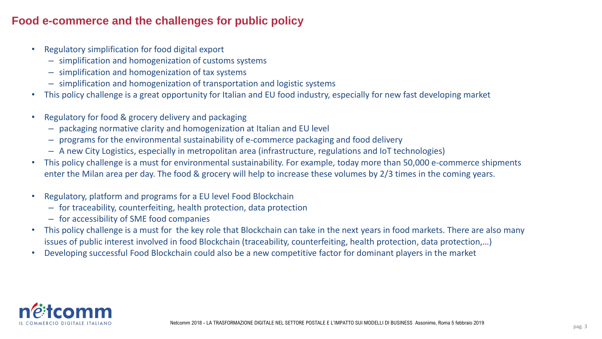### **Food e-commerce and the challenges for public policy**

- Regulatory simplification for food digital export
	- simplification and homogenization of customs systems
	- simplification and homogenization of tax systems
	- simplification and homogenization of transportation and logistic systems
- This policy challenge is a great opportunity for Italian and EU food industry, especially for new fast developing market
- Regulatory for food & grocery delivery and packaging
	- packaging normative clarity and homogenization at Italian and EU level
	- programs for the environmental sustainability of e-commerce packaging and food delivery
	- A new City Logistics, especially in metropolitan area (infrastructure, regulations and IoT technologies)
- This policy challenge is a must for environmental sustainability. For example, today more than 50,000 e-commerce shipments enter the Milan area per day. The food & grocery will help to increase these volumes by 2/3 times in the coming years.
- Regulatory, platform and programs for a EU level Food Blockchain
	- for traceability, counterfeiting, health protection, data protection
	- for accessibility of SME food companies
- This policy challenge is a must for the key role that Blockchain can take in the next years in food markets. There are also many issues of public interest involved in food Blockchain (traceability, counterfeiting, health protection, data protection,…)
- Developing successful Food Blockchain could also be a new competitive factor for dominant players in the market

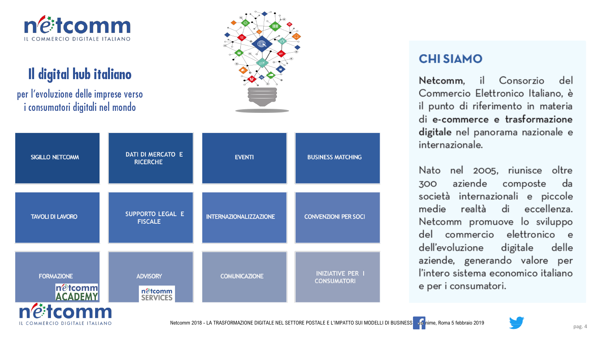

# Il digital hub italiano

per l'evoluzione delle imprese verso i consumatori digitali nel mondo

netcomm

IL COMMERCIO DIGITALE ITALIANO



| <b>SIGILLO NETCOMM</b>                                              | DATI DI MERCATO E<br><b>RICERCHE</b>          | <b>EVENTI</b>                 | <b>BUSINESS MATCHING</b>                      |
|---------------------------------------------------------------------|-----------------------------------------------|-------------------------------|-----------------------------------------------|
| <b>TAVOLI DI LAVORO</b>                                             | SUPPORTO LEGAL E<br><b>FISCALE</b>            | <b>INTERNAZIONALIZZAZIONE</b> | <b>CONVENZIONI PER SOCI</b>                   |
| <b>FORMAZIONE</b><br>n@tcomm<br>ACADEMY<br>$\overline{\phantom{a}}$ | <b>ADVISORY</b><br>n@tcomm<br><b>SERVICES</b> | <b>COMUNICAZIONE</b>          | <b>INIZIATIVE PER I</b><br><b>CONSUMATORI</b> |



## **CHI SIAMO**

il Consorzio Netcomm, del Commercio Elettronico Italiano, è il punto di riferimento in materia di e-commerce e trasformazione digitale nel panorama nazionale e internazionale.

Nato nel 2005, riunisce oltre aziende composte 300 da società internazionali e piccole medie realtà di eccellenza. Netcomm promuove lo sviluppo del commercio elettronico e dell'evoluzione digitale delle aziende, generando valore per l'intero sistema economico italiano e per i consumatori.